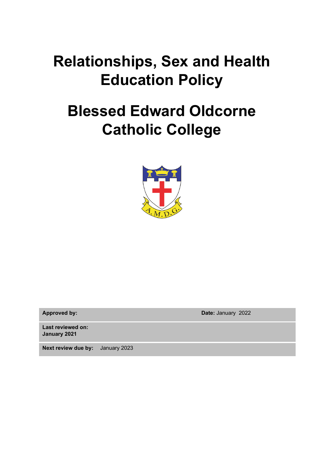# **Relationships, Sex and Health Education Policy**

# **Blessed Edward Oldcorne Catholic College**



**Approved by: Date:** January 2022

**Last reviewed on: January 2021**

**Next review due by:** January 2023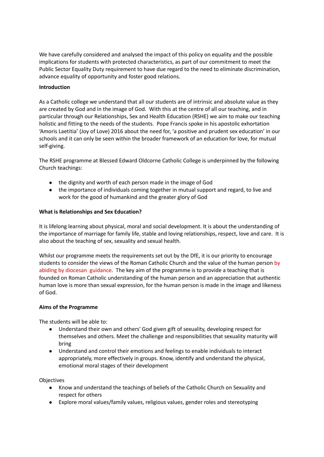We have carefully considered and analysed the impact of this policy on equality and the possible implications for students with protected characteristics, as part of our commitment to meet the Public Sector Equality Duty requirement to have due regard to the need to eliminate discrimination, advance equality of opportunity and foster good relations.

# **Introduction**

As a Catholic college we understand that all our students are of intrinsic and absolute value as they are created by God and in the image of God. With this at the centre of all our teaching, and in particular through our Relationships, Sex and Health Education (RSHE) we aim to make our teaching holistic and fitting to the needs of the students. Pope Francis spoke in his apostolic exhortation 'Amoris Laetitia' (Joy of Love) 2016 about the need for, 'a positive and prudent sex education' in our schools and it can only be seen within the broader framework of an education for love, for mutual self-giving.

The RSHE programme at Blessed Edward Oldcorne Catholic College is underpinned by the following Church teachings:

- the dignity and worth of each person made in the image of God
- the importance of individuals coming together in mutual support and regard, to live and work for the good of humankind and the greater glory of God

# **What is Relationships and Sex Education?**

It is lifelong learning about physical, moral and social development. It is about the understanding of the importance of marriage for family life, stable and loving relationships, respect, love and care. It is also about the teaching of sex, sexuality and sexual health.

Whilst our programme meets the requirements set out by the DfE, it is our priority to encourage students to consider the views of the Roman Catholic Church and the value of the human person by abiding by diocesan guidance. The key aim of the programme is to provide a teaching that is founded on Roman Catholic understanding of the human person and an appreciation that authentic human love is more than sexual expression, for the human person is made in the image and likeness of God.

## **Aims of the Programme**

The students will be able to:

- Understand their own and others' God given gift of sexuality, developing respect for themselves and others. Meet the challenge and responsibilities that sexuality maturity will bring
- Understand and control their emotions and feelings to enable individuals to interact appropriately, more effectively in groups. Know, identify and understand the physical, emotional moral stages of their development

Objectives

- Know and understand the teachings of beliefs of the Catholic Church on Sexuality and respect for others
- Explore moral values/family values, religious values, gender roles and stereotyping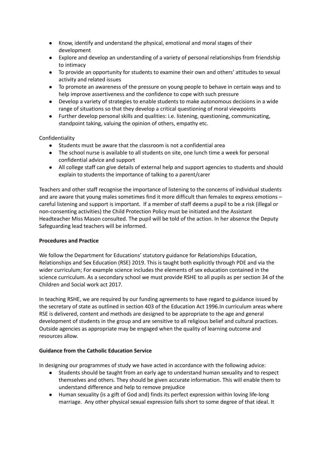- Know, identify and understand the physical, emotional and moral stages of their development
- Explore and develop an understanding of a variety of personal relationships from friendship to intimacy
- To provide an opportunity for students to examine their own and others' attitudes to sexual activity and related issues
- To promote an awareness of the pressure on young people to behave in certain ways and to help improve assertiveness and the confidence to cope with such pressure
- Develop a variety of strategies to enable students to make autonomous decisions in a wide range of situations so that they develop a critical questioning of moral viewpoints
- Further develop personal skills and qualities: i.e. listening, questioning, communicating, standpoint taking, valuing the opinion of others, empathy etc.

Confidentiality

- Students must be aware that the classroom is not a confidential area
- The school nurse is available to all students on site, one lunch time a week for personal confidential advice and support
- All college staff can give details of external help and support agencies to students and should explain to students the importance of talking to a parent/carer

Teachers and other staff recognise the importance of listening to the concerns of individual students and are aware that young males sometimes find it more difficult than females to express emotions – careful listening and support is important. If a member of staff deems a pupil to be a risk (illegal or non-consenting activities) the Child Protection Policy must be initiated and the Assistant Headteacher Miss Mason consulted. The pupil will be told of the action. In her absence the Deputy Safeguarding lead teachers will be informed.

## **Procedures and Practice**

We follow the Department for Educations' statutory guidance for Relationships Education, Relationships and Sex Education (RSE) 2019. This is taught both explicitly through PDE and via the wider curriculum; For example science includes the elements of sex education contained in the science curriculum. As a secondary school we must provide RSHE to all pupils as per section 34 of the Children and Social work act 2017.

In teaching RSHE, we are required by our funding agreements to have regard to guidance issued by the secretary of state as outlined in section 403 of the Education Act 1996.In curriculum areas where RSE is delivered, content and methods are designed to be appropriate to the age and general development of students in the group and are sensitive to all religious belief and cultural practices. Outside agencies as appropriate may be engaged when the quality of learning outcome and resources allow.

# **Guidance from the Catholic Education Service**

In designing our programmes of study we have acted in accordance with the following advice:

- Students should be taught from an early age to understand human sexuality and to respect themselves and others. They should be given accurate information. This will enable them to understand difference and help to remove prejudice
- Human sexuality (is a gift of God and) finds its perfect expression within loving life-long marriage. Any other physical sexual expression falls short to some degree of that ideal. It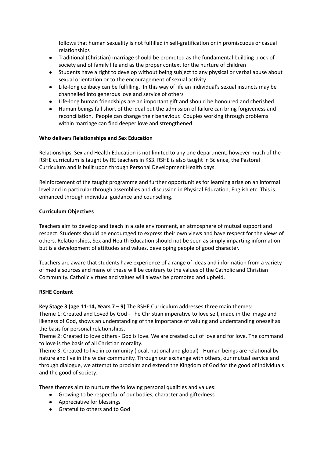follows that human sexuality is not fulfilled in self-gratification or in promiscuous or casual relationships

- Traditional (Christian) marriage should be promoted as the fundamental building block of society and of family life and as the proper context for the nurture of children
- Students have a right to develop without being subject to any physical or verbal abuse about sexual orientation or to the encouragement of sexual activity
- Life-long celibacy can be fulfilling. In this way of life an individual's sexual instincts may be channelled into generous love and service of others
- Life-long human friendships are an important gift and should be honoured and cherished
- Human beings fall short of the ideal but the admission of failure can bring forgiveness and reconciliation. People can change their behaviour. Couples working through problems within marriage can find deeper love and strengthened

# **Who delivers Relationships and Sex Education**

Relationships, Sex and Health Education is not limited to any one department, however much of the RSHE curriculum is taught by RE teachers in KS3. RSHE is also taught in Science, the Pastoral Curriculum and is built upon through Personal Development Health days.

Reinforcement of the taught programme and further opportunities for learning arise on an informal level and in particular through assemblies and discussion in Physical Education, English etc. This is enhanced through individual guidance and counselling.

# **Curriculum Objectives**

Teachers aim to develop and teach in a safe environment, an atmosphere of mutual support and respect. Students should be encouraged to express their own views and have respect for the views of others. Relationships, Sex and Health Education should not be seen as simply imparting information but is a development of attitudes and values, developing people of good character.

Teachers are aware that students have experience of a range of ideas and information from a variety of media sources and many of these will be contrary to the values of the Catholic and Christian Community. Catholic virtues and values will always be promoted and upheld.

## **RSHE Content**

**Key Stage 3 (age 11-14, Years 7 – 9)** The RSHE Curriculum addresses three main themes: Theme 1: Created and Loved by God - The Christian imperative to love self, made in the image and likeness of God, shows an understanding of the importance of valuing and understanding oneself as the basis for personal relationships.

Theme 2: Created to love others - God is love. We are created out of love and for love. The command to love is the basis of all Christian morality.

Theme 3: Created to live in community (local, national and global) - Human beings are relational by nature and live in the wider community. Through our exchange with others, our mutual service and through dialogue, we attempt to proclaim and extend the Kingdom of God for the good of individuals and the good of society.

These themes aim to nurture the following personal qualities and values:

- Growing to be respectful of our bodies, character and giftedness
- Appreciative for blessings
- Grateful to others and to God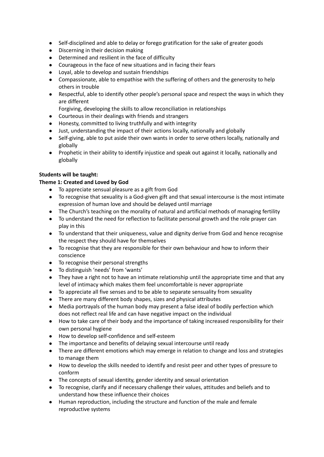- Self-disciplined and able to delay or forego gratification for the sake of greater goods
- Discerning in their decision making
- Determined and resilient in the face of difficulty
- Courageous in the face of new situations and in facing their fears
- Loyal, able to develop and sustain friendships
- Compassionate, able to empathise with the suffering of others and the generosity to help others in trouble
- Respectful, able to identify other people's personal space and respect the ways in which they are different

Forgiving, developing the skills to allow reconciliation in relationships

- Courteous in their dealings with friends and strangers
- Honesty, committed to living truthfully and with integrity
- Just, understanding the impact of their actions locally, nationally and globally
- Self-giving, able to put aside their own wants in order to serve others locally, nationally and globally
- Prophetic in their ability to identify injustice and speak out against it locally, nationally and globally

# **Students will be taught:**

# **Theme 1: Created and Loved by God**

- To appreciate sensual pleasure as a gift from God
- To recognise that sexuality is a God-given gift and that sexual intercourse is the most intimate expression of human love and should be delayed until marriage
- The Church's teaching on the morality of natural and artificial methods of managing fertility
- To understand the need for reflection to facilitate personal growth and the role prayer can play in this
- To understand that their uniqueness, value and dignity derive from God and hence recognise the respect they should have for themselves
- To recognise that they are responsible for their own behaviour and how to inform their conscience
- To recognise their personal strengths
- To distinguish 'needs' from 'wants'
- They have a right not to have an intimate relationship until the appropriate time and that any level of intimacy which makes them feel uncomfortable is never appropriate
- To appreciate all five senses and to be able to separate sensuality from sexuality
- There are many different body shapes, sizes and physical attributes
- Media portrayals of the human body may present a false ideal of bodily perfection which does not reflect real life and can have negative impact on the individual
- How to take care of their body and the importance of taking increased responsibility for their own personal hygiene
- How to develop self-confidence and self-esteem
- The importance and benefits of delaying sexual intercourse until ready
- There are different emotions which may emerge in relation to change and loss and strategies to manage them
- How to develop the skills needed to identify and resist peer and other types of pressure to conform
- The concepts of sexual identity, gender identity and sexual orientation
- To recognise, clarify and if necessary challenge their values, attitudes and beliefs and to understand how these influence their choices
- Human reproduction, including the structure and function of the male and female reproductive systems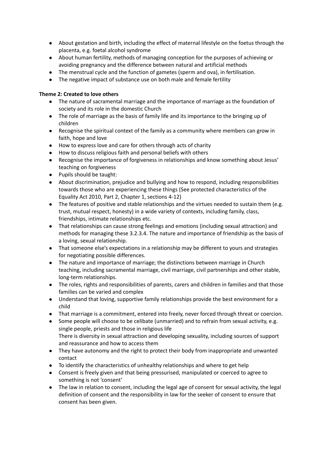- About gestation and birth, including the effect of maternal lifestyle on the foetus through the placenta, e.g. foetal alcohol syndrome
- About human fertility, methods of managing conception for the purposes of achieving or avoiding pregnancy and the difference between natural and artificial methods
- The menstrual cycle and the function of gametes (sperm and ova), in fertilisation.
- The negative impact of substance use on both male and female fertility

# **Theme 2: Created to love others**

- The nature of sacramental marriage and the importance of marriage as the foundation of society and its role in the domestic Church
- The role of marriage as the basis of family life and its importance to the bringing up of children
- Recognise the spiritual context of the family as a community where members can grow in faith, hope and love
- How to express love and care for others through acts of charity
- How to discuss religious faith and personal beliefs with others
- Recognise the importance of forgiveness in relationships and know something about Jesus' teaching on forgiveness
- Pupils should be taught:
- About discrimination, prejudice and bullying and how to respond, including responsibilities towards those who are experiencing these things (See protected characteristics of the Equality Act 2010, Part 2, Chapter 1, sections 4-12)
- The features of positive and stable relationships and the virtues needed to sustain them (e.g. trust, mutual respect, honesty) in a wide variety of contexts, including family, class, friendships, intimate relationships etc.
- That relationships can cause strong feelings and emotions (including sexual attraction) and methods for managing these 3.2.3.4. The nature and importance of friendship as the basis of a loving, sexual relationship.
- That someone else's expectations in a relationship may be different to yours and strategies for negotiating possible differences.
- The nature and importance of marriage; the distinctions between marriage in Church teaching, including sacramental marriage, civil marriage, civil partnerships and other stable, long-term relationships.
- The roles, rights and responsibilities of parents, carers and children in families and that those families can be varied and complex
- Understand that loving, supportive family relationships provide the best environment for a child
- That marriage is a commitment, entered into freely, never forced through threat or coercion.
- Some people will choose to be celibate (unmarried) and to refrain from sexual activity, e.g. single people, priests and those in religious life There is diversity in sexual attraction and developing sexuality, including sources of support and reassurance and how to access them
- They have autonomy and the right to protect their body from inappropriate and unwanted contact
- To identify the characteristics of unhealthy relationships and where to get help
- Consent is freely given and that being pressurised, manipulated or coerced to agree to something is not 'consent'
- The law in relation to consent, including the legal age of consent for sexual activity, the legal definition of consent and the responsibility in law for the seeker of consent to ensure that consent has been given.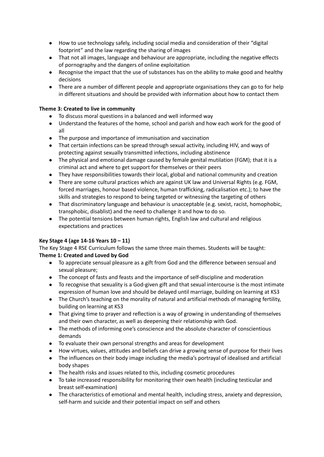- How to use technology safely, including social media and consideration of their "digital footprint" and the law regarding the sharing of images
- That not all images, language and behaviour are appropriate, including the negative effects of pornography and the dangers of online exploitation
- Recognise the impact that the use of substances has on the ability to make good and healthy decisions
- There are a number of different people and appropriate organisations they can go to for help in different situations and should be provided with information about how to contact them

# **Theme 3: Created to live in community**

- To discuss moral questions in a balanced and well informed way
- Understand the features of the home, school and parish and how each work for the good of all
- The purpose and importance of immunisation and vaccination
- That certain infections can be spread through sexual activity, including HIV, and ways of protecting against sexually transmitted infections, including abstinence
- The physical and emotional damage caused by female genital mutilation (FGM); that it is a criminal act and where to get support for themselves or their peers
- They have responsibilities towards their local, global and national community and creation
- There are some cultural practices which are against UK law and Universal Rights (e.g. FGM, forced marriages, honour based violence, human trafficking, radicalisation etc.); to have the skills and strategies to respond to being targeted or witnessing the targeting of others
- That discriminatory language and behaviour is unacceptable (e.g. sexist, racist, homophobic, transphobic, disablist) and the need to challenge it and how to do so.
- The potential tensions between human rights, English law and cultural and religious expectations and practices

# **Key Stage 4 (age 14-16 Years 10 – 11)**

The Key Stage 4 RSE Curriculum follows the same three main themes. Students will be taught: **Theme 1: Created and Loved by God**

- To appreciate sensual pleasure as a gift from God and the difference between sensual and sexual pleasure;
- The concept of fasts and feasts and the importance of self-discipline and moderation
- To recognise that sexuality is a God-given gift and that sexual intercourse is the most intimate expression of human love and should be delayed until marriage, building on learning at KS3
- The Church's teaching on the morality of natural and artificial methods of managing fertility, building on learning at KS3
- That giving time to prayer and reflection is a way of growing in understanding of themselves and their own character, as well as deepening their relationship with God.
- The methods of informing one's conscience and the absolute character of conscientious demands
- To evaluate their own personal strengths and areas for development
- How virtues, values, attitudes and beliefs can drive a growing sense of purpose for their lives
- The influences on their body image including the media's portrayal of idealised and artificial body shapes
- The health risks and issues related to this, including cosmetic procedures
- To take increased responsibility for monitoring their own health (including testicular and breast self-examination)
- The characteristics of emotional and mental health, including stress, anxiety and depression, self-harm and suicide and their potential impact on self and others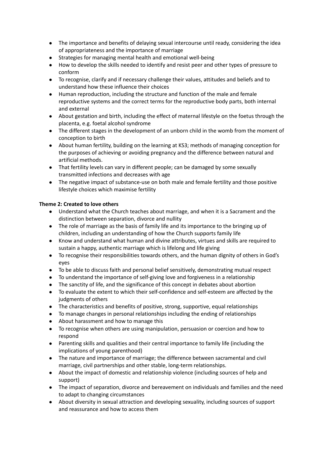- The importance and benefits of delaying sexual intercourse until ready, considering the idea of appropriateness and the importance of marriage
- Strategies for managing mental health and emotional well-being
- How to develop the skills needed to identify and resist peer and other types of pressure to conform
- To recognise, clarify and if necessary challenge their values, attitudes and beliefs and to understand how these influence their choices
- Human reproduction, including the structure and function of the male and female reproductive systems and the correct terms for the reproductive body parts, both internal and external
- About gestation and birth, including the effect of maternal lifestyle on the foetus through the placenta, e.g. foetal alcohol syndrome
- The different stages in the development of an unborn child in the womb from the moment of conception to birth
- About human fertility, building on the learning at KS3; methods of managing conception for the purposes of achieving or avoiding pregnancy and the difference between natural and artificial methods.
- That fertility levels can vary in different people; can be damaged by some sexually transmitted infections and decreases with age
- The negative impact of substance-use on both male and female fertility and those positive lifestyle choices which maximise fertility

# **Theme 2: Created to love others**

- Understand what the Church teaches about marriage, and when it is a Sacrament and the distinction between separation, divorce and nullity
- The role of marriage as the basis of family life and its importance to the bringing up of children, including an understanding of how the Church supports family life
- Know and understand what human and divine attributes, virtues and skills are required to sustain a happy, authentic marriage which is lifelong and life giving
- To recognise their responsibilities towards others, and the human dignity of others in God's eyes
- To be able to discuss faith and personal belief sensitively, demonstrating mutual respect
- To understand the importance of self-giving love and forgiveness in a relationship
- The sanctity of life, and the significance of this concept in debates about abortion
- To evaluate the extent to which their self-confidence and self-esteem are affected by the judgments of others
- The characteristics and benefits of positive, strong, supportive, equal relationships
- To manage changes in personal relationships including the ending of relationships
- About harassment and how to manage this
- To recognise when others are using manipulation, persuasion or coercion and how to respond
- Parenting skills and qualities and their central importance to family life (including the implications of young parenthood)
- The nature and importance of marriage; the difference between sacramental and civil marriage, civil partnerships and other stable, long-term relationships.
- About the impact of domestic and relationship violence (including sources of help and support)
- The impact of separation, divorce and bereavement on individuals and families and the need to adapt to changing circumstances
- About diversity in sexual attraction and developing sexuality, including sources of support and reassurance and how to access them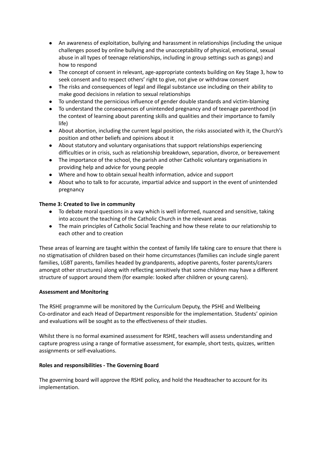- An awareness of exploitation, bullying and harassment in relationships (including the unique challenges posed by online bullying and the unacceptability of physical, emotional, sexual abuse in all types of teenage relationships, including in group settings such as gangs) and how to respond
- The concept of consent in relevant, age-appropriate contexts building on Key Stage 3, how to seek consent and to respect others' right to give, not give or withdraw consent
- The risks and consequences of legal and illegal substance use including on their ability to make good decisions in relation to sexual relationships
- To understand the pernicious influence of gender double standards and victim-blaming
- To understand the consequences of unintended pregnancy and of teenage parenthood (in the context of learning about parenting skills and qualities and their importance to family life)
- About abortion, including the current legal position, the risks associated with it, the Church's position and other beliefs and opinions about it
- About statutory and voluntary organisations that support relationships experiencing difficulties or in crisis, such as relationship breakdown, separation, divorce, or bereavement
- The importance of the school, the parish and other Catholic voluntary organisations in providing help and advice for young people
- Where and how to obtain sexual health information, advice and support
- About who to talk to for accurate, impartial advice and support in the event of unintended pregnancy

# **Theme 3: Created to live in community**

- To debate moral questions in a way which is well informed, nuanced and sensitive, taking into account the teaching of the Catholic Church in the relevant areas
- The main principles of Catholic Social Teaching and how these relate to our relationship to each other and to creation

These areas of learning are taught within the context of family life taking care to ensure that there is no stigmatisation of children based on their home circumstances (families can include single parent families, LGBT parents, families headed by grandparents, adoptive parents, foster parents/carers amongst other structures) along with reflecting sensitively that some children may have a different structure of support around them (for example: looked after children or young carers).

## **Assessment and Monitoring**

The RSHE programme will be monitored by the Curriculum Deputy, the PSHE and Wellbeing Co-ordinator and each Head of Department responsible for the implementation. Students' opinion and evaluations will be sought as to the effectiveness of their studies.

Whilst there is no formal examined assessment for RSHE, teachers will assess understanding and capture progress using a range of formative assessment, for example, short tests, quizzes, written assignments or self-evaluations.

## **Roles and responsibilities - The Governing Board**

The governing board will approve the RSHE policy, and hold the Headteacher to account for its implementation.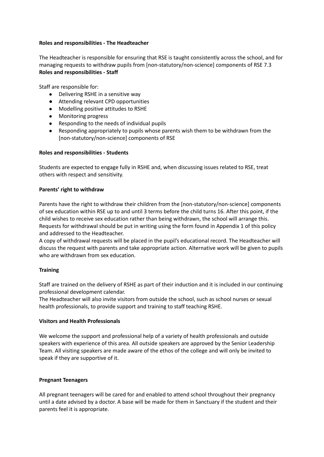## **Roles and responsibilities - The Headteacher**

The Headteacher is responsible for ensuring that RSE is taught consistently across the school, and for managing requests to withdraw pupils from [non-statutory/non-science] components of RSE 7.3 **Roles and responsibilities - Staff**

Staff are responsible for:

- Delivering RSHE in a sensitive way
- Attending relevant CPD opportunities
- Modelling positive attitudes to RSHE
- Monitoring progress
- Responding to the needs of individual pupils
- Responding appropriately to pupils whose parents wish them to be withdrawn from the [non-statutory/non-science] components of RSE

# **Roles and responsibilities - Students**

Students are expected to engage fully in RSHE and, when discussing issues related to RSE, treat others with respect and sensitivity.

# **Parents' right to withdraw**

Parents have the right to withdraw their children from the [non-statutory/non-science] components of sex education within RSE up to and until 3 terms before the child turns 16. After this point, if the child wishes to receive sex education rather than being withdrawn, the school will arrange this. Requests for withdrawal should be put in writing using the form found in Appendix 1 of this policy and addressed to the Headteacher.

A copy of withdrawal requests will be placed in the pupil's educational record. The Headteacher will discuss the request with parents and take appropriate action. Alternative work will be given to pupils who are withdrawn from sex education.

## **Training**

Staff are trained on the delivery of RSHE as part of their induction and it is included in our continuing professional development calendar.

The Headteacher will also invite visitors from outside the school, such as school nurses or sexual health professionals, to provide support and training to staff teaching RSHE.

## **Visitors and Health Professionals**

We welcome the support and professional help of a variety of health professionals and outside speakers with experience of this area. All outside speakers are approved by the Senior Leadership Team. All visiting speakers are made aware of the ethos of the college and will only be invited to speak if they are supportive of it.

## **Pregnant Teenagers**

All pregnant teenagers will be cared for and enabled to attend school throughout their pregnancy until a date advised by a doctor. A base will be made for them in Sanctuary if the student and their parents feel it is appropriate.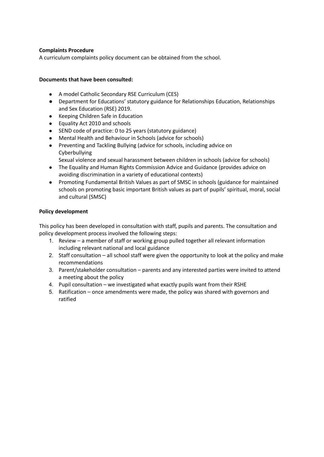# **Complaints Procedure**

A curriculum complaints policy document can be obtained from the school.

# **Documents that have been consulted:**

- A model Catholic Secondary RSE Curriculum (CES)
- Department for Educations' statutory guidance for Relationships Education, Relationships and Sex Education (RSE) 2019.
- Keeping Children Safe in Education
- Equality Act 2010 and schools
- SEND code of practice: 0 to 25 years (statutory guidance)
- Mental Health and Behaviour in Schools (advice for schools)
- Preventing and Tackling Bullying (advice for schools, including advice on Cyberbullying
	- Sexual violence and sexual harassment between children in schools (advice for schools)
- The Equality and Human Rights Commission Advice and Guidance (provides advice on avoiding discrimination in a variety of educational contexts)
- Promoting Fundamental British Values as part of SMSC in schools (guidance for maintained schools on promoting basic important British values as part of pupils' spiritual, moral, social and cultural (SMSC)

# **Policy development**

This policy has been developed in consultation with staff, pupils and parents. The consultation and policy development process involved the following steps:

- 1. Review a member of staff or working group pulled together all relevant information including relevant national and local guidance
- 2. Staff consultation all school staff were given the opportunity to look at the policy and make recommendations
- 3. Parent/stakeholder consultation parents and any interested parties were invited to attend a meeting about the policy
- 4. Pupil consultation we investigated what exactly pupils want from their RSHE
- 5. Ratification once amendments were made, the policy was shared with governors and ratified